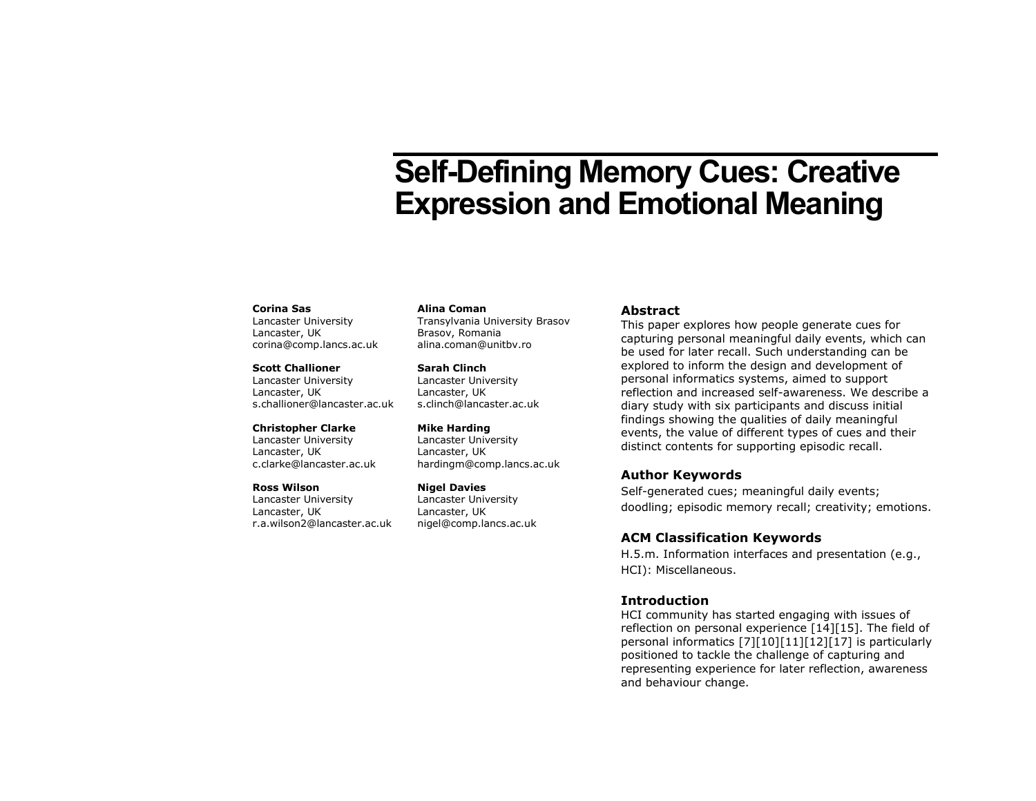# **Self-Defining Memory Cues: Creative Expression and Emotional Meaning**

#### **Corina Sas**

Lancaster University Lancaster, UK corina@comp.lancs.ac.uk

#### **Scott Challioner**

Lancaster University Lancaster, UK s.challioner@lancaster.ac.uk

#### **Christopher Clarke**

Lancaster University Lancaster, UK c.clarke@lancaster.ac.uk

#### **Ross Wilson**

Lancaster University Lancaster, UK r.a.wilson2@lancaster.ac.uk

## **Alina Coman**

Transylvania University Brasov Brasov, Romania alina.coman@unitbv.ro

**Sarah Clinch** Lancaster University Lancaster, UK s.clinch@lancaster.ac.uk

**Mike Harding** Lancaster University Lancaster, UK hardingm@comp.lancs.ac.uk

**Nigel Davies** Lancaster University Lancaster, UK nigel@comp.lancs.ac.uk

# **Abstract**

This paper explores how people generate cues for capturing personal meaningful daily events, which can be used for later recall. Such understanding can be explored to inform the design and development of personal informatics systems, aimed to support reflection and increased self-awareness. We describe a diary study with six participants and discuss initial findings showing the qualities of daily meaningful events, the value of different types of cues and their distinct contents for supporting episodic recall.

# **Author Keywords**

Self-generated cues; meaningful daily events; doodling; episodic memory recall; creativity; emotions.

# **ACM Classification Keywords**

H.5.m. Information interfaces and presentation (e.g., HCI): Miscellaneous.

# **Introduction**

HCI community has started engaging with issues of reflection on personal experience [\[14\]\[15\].](#page-5-0) The field of personal informatics [\[7\]\[10\]](#page-5-1)[\[11\]\[12\]](#page-5-2)[\[17\]](#page-5-3) is particularly positioned to tackle the challenge of capturing and representing experience for later reflection, awareness and behaviour change.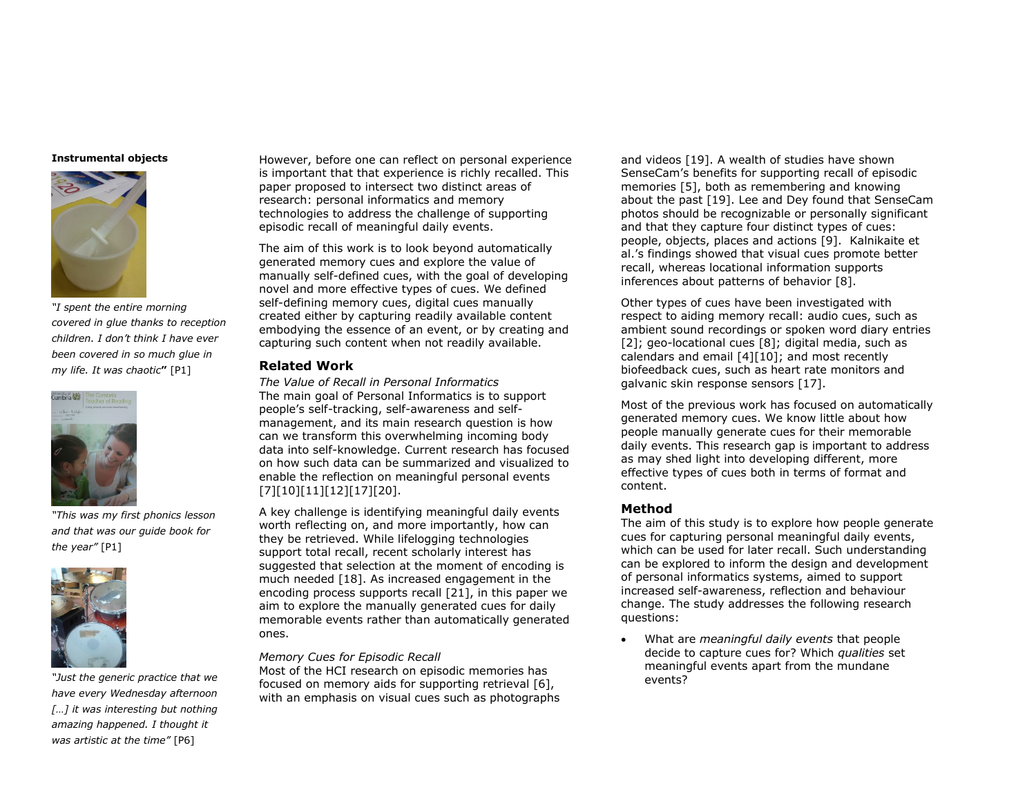#### **Instrumental objects**



*"I spent the entire morning covered in glue thanks to reception children. I don't think I have ever been covered in so much glue in my life. It was chaotic***"** [P1]



*"This was my first phonics lesson and that was our guide book for the year"* [P1]



*"Just the generic practice that we have every Wednesday afternoon […] it was interesting but nothing amazing happened. I thought it was artistic at the time"* [P6]

However, before one can reflect on personal experience is important that that experience is richly recalled. This paper proposed to intersect two distinct areas of research: personal informatics and memory technologies to address the challenge of supporting episodic recall of meaningful daily events.

The aim of this work is to look beyond automatically generated memory cues and explore the value of manually self-defined cues, with the goal of developing novel and more effective types of cues. We defined self-defining memory cues, digital cues manually created either by capturing readily available content embodying the essence of an event, or by creating and capturing such content when not readily available.

# **Related Work**

*The Value of Recall in Personal Informatics* The main goal of Personal Informatics is to support people's self-tracking, self-awareness and selfmanagement, and its main research question is how can we transform this overwhelming incoming body data into self-knowledge. Current research has focused on how such data can be summarized and visualized to enable the reflection on meaningful personal events [\[7\]\[10\]](#page-5-1)[\[11\]\[12\]](#page-5-2)[\[17\]\[20\].](#page-5-3)

A key challenge is identifying meaningful daily events worth reflecting on, and more importantly, how can they be retrieved. While lifelogging technologies support total recall, recent scholarly interest has suggested that selection at the moment of encoding is much needed [\[18\].](#page-5-4) As increased engagement in the encoding process supports recall [\[21\],](#page-5-5) in this paper we aim to explore the manually generated cues for daily memorable events rather than automatically generated ones.

# *Memory Cues for Episodic Recall*

Most of the HCI research on episodic memories has focused on memory aids for supporting retrieval [\[6\],](#page-5-6) with an emphasis on visual cues such as photographs and videos [\[19\].](#page-5-7) A wealth of studies have shown SenseCam's benefits for supporting recall of episodic memories [\[5\],](#page-5-8) both as remembering and knowing about the past [\[19\].](#page-5-7) Lee and Dey found that SenseCam photos should be recognizable or personally significant and that they capture four distinct types of cues: people, objects, places and actions [\[9\].](#page-5-9) Kalnikaite et al.'s findings showed that visual cues promote better recall, whereas locational information supports inferences about patterns of behavior [\[8\].](#page-5-10)

Other types of cues have been investigated with respect to aiding memory recall: audio cues, such as ambient sound recordings or spoken word diary entries [\[2\];](#page-5-11) geo-locational cues [\[8\];](#page-5-10) digital media, such as calendars and email [\[4\]\[10\];](#page-5-12) and most recently biofeedback cues, such as heart rate monitors and galvanic skin response sensors [\[17\].](#page-5-3)

Most of the previous work has focused on automatically generated memory cues. We know little about how people manually generate cues for their memorable daily events. This research gap is important to address as may shed light into developing different, more effective types of cues both in terms of format and content.

# **Method**

The aim of this study is to explore how people generate cues for capturing personal meaningful daily events, which can be used for later recall. Such understanding can be explored to inform the design and development of personal informatics systems, aimed to support increased self-awareness, reflection and behaviour change. The study addresses the following research questions:

 What are *meaningful daily events* that people decide to capture cues for? Which *qualities* set meaningful events apart from the mundane events?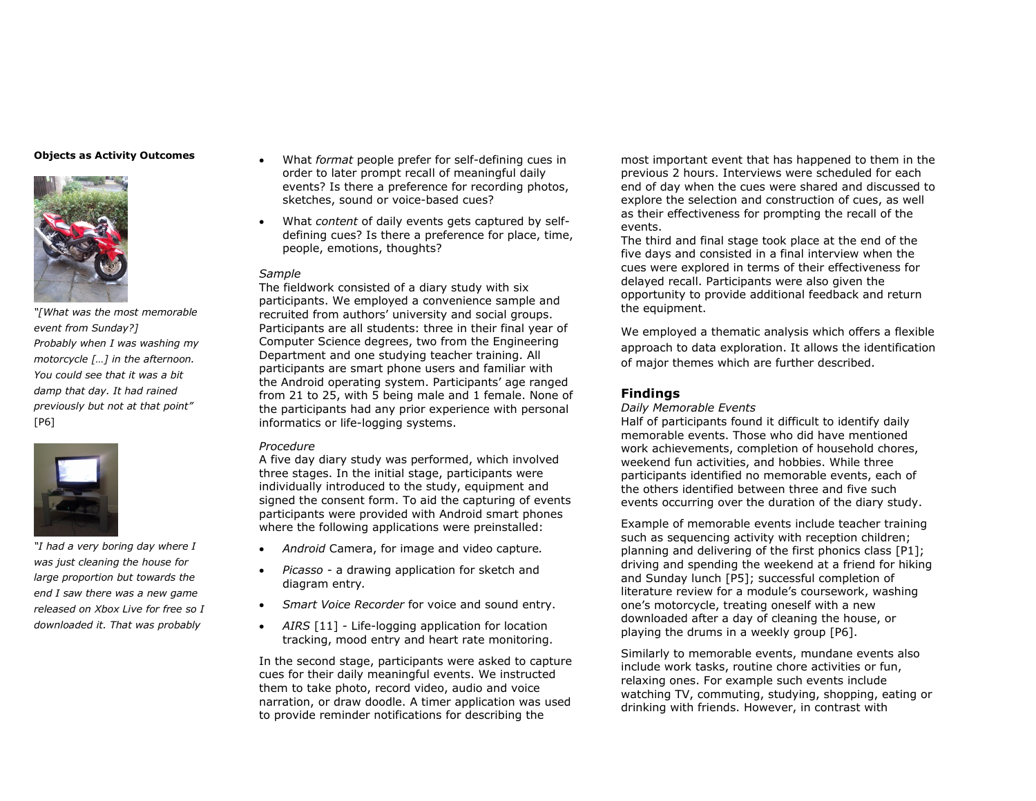## **Objects as Activity Outcomes**



*"[What was the most memorable event from Sunday?] Probably when I was washing my motorcycle […] in the afternoon. You could see that it was a bit damp that day. It had rained previously but not at that point"* [P6]



*"I had a very boring day where I was just cleaning the house for large proportion but towards the end I saw there was a new game released on Xbox Live for free so I downloaded it. That was probably* 

- What *format* people prefer for self-defining cues in order to later prompt recall of meaningful daily events? Is there a preference for recording photos, sketches, sound or voice-based cues?
- What *content* of daily events gets captured by selfdefining cues? Is there a preference for place, time, people, emotions, thoughts?

# *Sample*

The fieldwork consisted of a diary study with six participants. We employed a convenience sample and recruited from authors' university and social groups. Participants are all students: three in their final year of Computer Science degrees, two from the Engineering Department and one studying teacher training. All participants are smart phone users and familiar with the Android operating system. Participants' age ranged from 21 to 25, with 5 being male and 1 female. None of the participants had any prior experience with personal informatics or life-logging systems.

# *Procedure*

A five day diary study was performed, which involved three stages. In the initial stage, participants were individually introduced to the study, equipment and signed the consent form. To aid the capturing of events participants were provided with Android smart phones where the following applications were preinstalled:

- *Android* Camera, for image and video capture*.*
- *Picasso -* a drawing application for sketch and diagram entry*.*
- *Smart Voice Recorder* for voice and sound entry.
- *AIRS* [\[11\]](#page-5-2) *-* Life-logging application for location tracking, mood entry and heart rate monitoring.

In the second stage, participants were asked to capture cues for their daily meaningful events. We instructed them to take photo, record video, audio and voice narration, or draw doodle. A timer application was used to provide reminder notifications for describing the

most important event that has happened to them in the previous 2 hours. Interviews were scheduled for each end of day when the cues were shared and discussed to explore the selection and construction of cues, as well as their effectiveness for prompting the recall of the events.

The third and final stage took place at the end of the five days and consisted in a final interview when the cues were explored in terms of their effectiveness for delayed recall. Participants were also given the opportunity to provide additional feedback and return the equipment.

We employed a thematic analysis which offers a flexible approach to data exploration. It allows the identification of major themes which are further described.

# **Findings**

# *Daily Memorable Events*

Half of participants found it difficult to identify daily memorable events. Those who did have mentioned work achievements, completion of household chores, weekend fun activities, and hobbies. While three participants identified no memorable events, each of the others identified between three and five such events occurring over the duration of the diary study.

Example of memorable events include teacher training such as sequencing activity with reception children; planning and delivering of the first phonics class [P1]; driving and spending the weekend at a friend for hiking and Sunday lunch [P5]; successful completion of literature review for a module's coursework, washing one's motorcycle, treating oneself with a new downloaded after a day of cleaning the house, or playing the drums in a weekly group [P6].

Similarly to memorable events, mundane events also include work tasks, routine chore activities or fun, relaxing ones. For example such events include watching TV, commuting, studying, shopping, eating or drinking with friends. However, in contrast with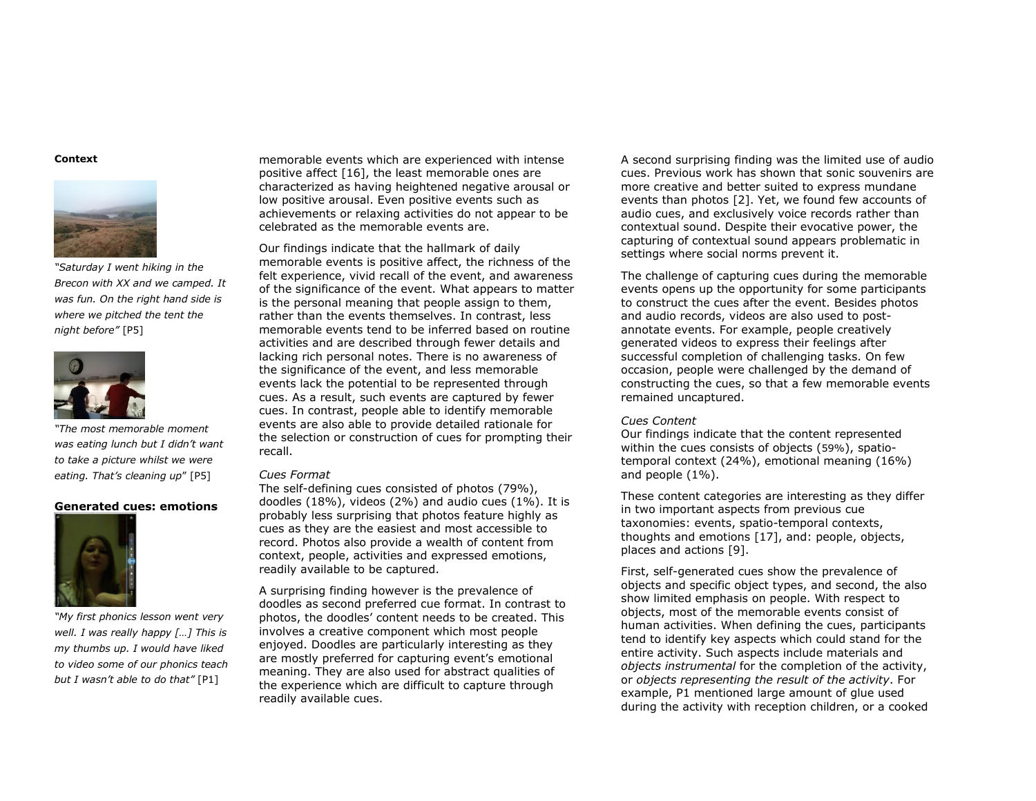#### **Context**



*"Saturday I went hiking in the Brecon with XX and we camped. It was fun. On the right hand side is where we pitched the tent the night before"* [P5]



*"The most memorable moment was eating lunch but I didn't want to take a picture whilst we were eating. That's cleaning up*" [P5]

## **Generated cues: emotions**



*"My first phonics lesson went very well. I was really happy […] This is my thumbs up. I would have liked to video some of our phonics teach but I wasn't able to do that"* [P1]

memorable events which are experienced with intense positive affect [\[16\],](#page-5-13) the least memorable ones are characterized as having heightened negative arousal or low positive arousal. Even positive events such as achievements or relaxing activities do not appear to be celebrated as the memorable events are.

Our findings indicate that the hallmark of daily memorable events is positive affect, the richness of the felt experience, vivid recall of the event, and awareness of the significance of the event. What appears to matter is the personal meaning that people assign to them, rather than the events themselves. In contrast, less memorable events tend to be inferred based on routine activities and are described through fewer details and lacking rich personal notes. There is no awareness of the significance of the event, and less memorable events lack the potential to be represented through cues. As a result, such events are captured by fewer cues. In contrast, people able to identify memorable events are also able to provide detailed rationale for the selection or construction of cues for prompting their recall.

#### *Cues Format*

The self-defining cues consisted of photos (79%), doodles (18%), videos (2%) and audio cues (1%). It is probably less surprising that photos feature highly as cues as they are the easiest and most accessible to record. Photos also provide a wealth of content from context, people, activities and expressed emotions, readily available to be captured.

A surprising finding however is the prevalence of doodles as second preferred cue format. In contrast to photos, the doodles' content needs to be created. This involves a creative component which most people enjoyed. Doodles are particularly interesting as they are mostly preferred for capturing event's emotional meaning. They are also used for abstract qualities of the experience which are difficult to capture through readily available cues.

A second surprising finding was the limited use of audio cues. Previous work has shown that sonic souvenirs are more creative and better suited to express mundane events than photos [\[2\].](#page-5-11) Yet, we found few accounts of audio cues, and exclusively voice records rather than contextual sound. Despite their evocative power, the capturing of contextual sound appears problematic in settings where social norms prevent it.

The challenge of capturing cues during the memorable events opens up the opportunity for some participants to construct the cues after the event. Besides photos and audio records, videos are also used to postannotate events. For example, people creatively generated videos to express their feelings after successful completion of challenging tasks. On few occasion, people were challenged by the demand of constructing the cues, so that a few memorable events remained uncaptured.

## *Cues Content*

Our findings indicate that the content represented within the cues consists of objects (59%), spatiotemporal context (24%), emotional meaning (16%) and people (1%).

These content categories are interesting as they differ in two important aspects from previous cue taxonomies: events, spatio-temporal contexts, thoughts and emotions [\[17\],](#page-5-3) and: people, objects, places and actions [\[9\].](#page-5-9)

First, self-generated cues show the prevalence of objects and specific object types, and second, the also show limited emphasis on people. With respect to objects, most of the memorable events consist of human activities. When defining the cues, participants tend to identify key aspects which could stand for the entire activity. Such aspects include materials and *objects instrumental* for the completion of the activity, or *objects representing the result of the activity*. For example, P1 mentioned large amount of glue used during the activity with reception children, or a cooked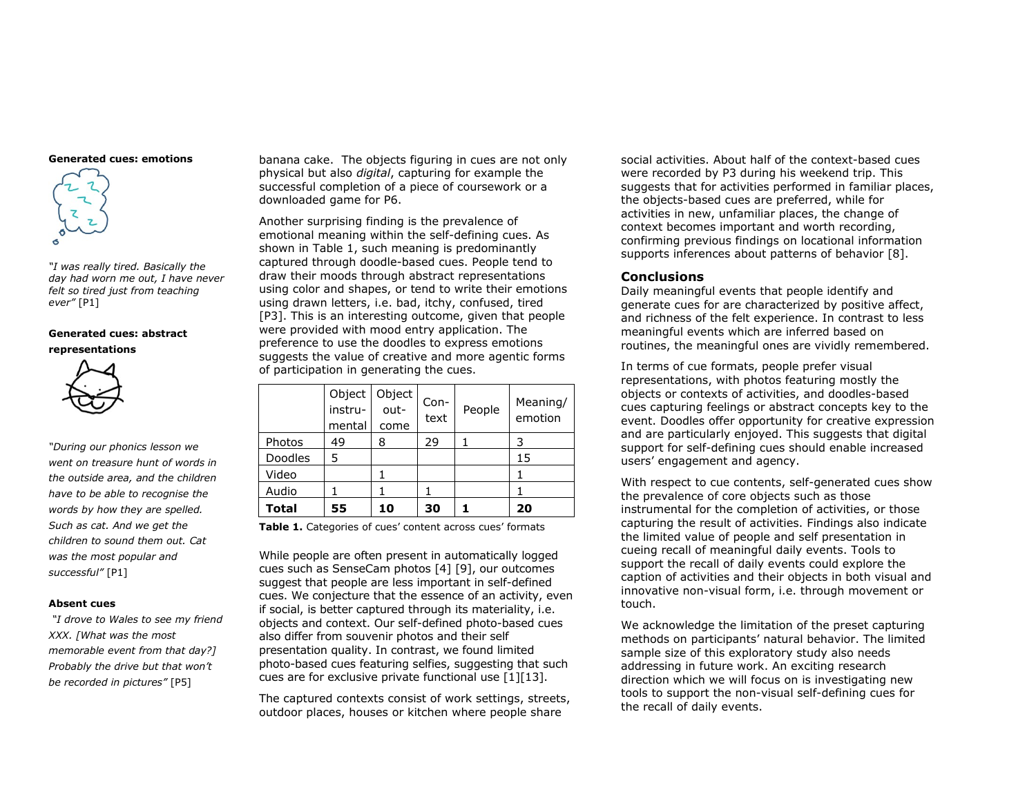#### **Generated cues: emotions**



*"I was really tired. Basically the day had worn me out, I have never felt so tired just from teaching ever"* [P1]

## **Generated cues: abstract representations**



*"During our phonics lesson we went on treasure hunt of words in the outside area, and the children have to be able to recognise the words by how they are spelled. Such as cat. And we get the children to sound them out. Cat was the most popular and successful"* [P1]

## **Absent cues**

*"I drove to Wales to see my friend XXX. [What was the most memorable event from that day?] Probably the drive but that won't be recorded in pictures"* [P5]

banana cake. The objects figuring in cues are not only physical but also *digital*, capturing for example the successful completion of a piece of coursework or a downloaded game for P6.

Another surprising finding is the prevalence of emotional meaning within the self-defining cues. As shown in Table 1, such meaning is predominantly captured through doodle-based cues. People tend to draw their moods through abstract representations using color and shapes, or tend to write their emotions using drawn letters, i.e. bad, itchy, confused, tired [P3]. This is an interesting outcome, given that people were provided with mood entry application. The preference to use the doodles to express emotions suggests the value of creative and more agentic forms of participation in generating the cues.

|              | Object<br>instru-<br>mental | Object<br>$out-$<br>come | Con-<br>text | People | Meaning/<br>emotion |
|--------------|-----------------------------|--------------------------|--------------|--------|---------------------|
| Photos       | 49                          | 8                        | 29           |        | 3                   |
| Doodles      | 5                           |                          |              |        | 15                  |
| Video        |                             |                          |              |        |                     |
| Audio        |                             |                          |              |        |                     |
| <b>Total</b> | 55                          | 10                       | 30           |        | 20                  |

**Table 1.** Categories of cues' content across cues' formats

While people are often present in automatically logged cues such as SenseCam photos [\[4\]](#page-5-12) [\[9\],](#page-5-9) our outcomes suggest that people are less important in self-defined cues. We conjecture that the essence of an activity, even if social, is better captured through its materiality, i.e. objects and context. Our self-defined photo-based cues also differ from souvenir photos and their self presentation quality. In contrast, we found limited photo-based cues featuring selfies, suggesting that such cues are for exclusive private functional use [\[1\]\[13\].](#page-5-14)

The captured contexts consist of work settings, streets, outdoor places, houses or kitchen where people share

social activities. About half of the context-based cues were recorded by P3 during his weekend trip. This suggests that for activities performed in familiar places, the objects-based cues are preferred, while for activities in new, unfamiliar places, the change of context becomes important and worth recording, confirming previous findings on locational information supports inferences about patterns of behavior [\[8\].](#page-5-10)

## **Conclusions**

Daily meaningful events that people identify and generate cues for are characterized by positive affect, and richness of the felt experience. In contrast to less meaningful events which are inferred based on routines, the meaningful ones are vividly remembered.

In terms of cue formats, people prefer visual representations, with photos featuring mostly the objects or contexts of activities, and doodles-based cues capturing feelings or abstract concepts key to the event. Doodles offer opportunity for creative expression and are particularly enjoyed. This suggests that digital support for self-defining cues should enable increased users' engagement and agency.

With respect to cue contents, self-generated cues show the prevalence of core objects such as those instrumental for the completion of activities, or those capturing the result of activities. Findings also indicate the limited value of people and self presentation in cueing recall of meaningful daily events. Tools to support the recall of daily events could explore the caption of activities and their objects in both visual and innovative non-visual form, i.e. through movement or touch.

We acknowledge the limitation of the preset capturing methods on participants' natural behavior. The limited sample size of this exploratory study also needs addressing in future work. An exciting research direction which we will focus on is investigating new tools to support the non-visual self-defining cues for the recall of daily events.